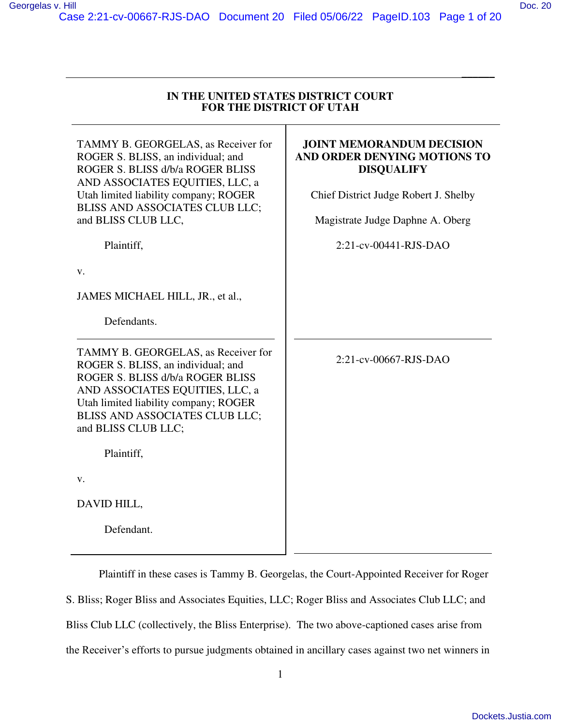# Case 2:21-cv-00667-RJS-DAO Document 20 Filed 05/06/22 PageID.103 Page 1 of 20

| IN THE UNITED STATES DISTRICT COURT |
|-------------------------------------|
| <b>FOR THE DISTRICT OF UTAH</b>     |

\_\_\_\_\_\_

| TAMMY B. GEORGELAS, as Receiver for<br>ROGER S. BLISS, an individual; and<br>ROGER S. BLISS d/b/a ROGER BLISS<br>AND ASSOCIATES EQUITIES, LLC, a                                                                                                   | <b>JOINT MEMORANDUM DECISION</b><br>AND ORDER DENYING MOTIONS TO<br><b>DISQUALIFY</b> |
|----------------------------------------------------------------------------------------------------------------------------------------------------------------------------------------------------------------------------------------------------|---------------------------------------------------------------------------------------|
| Utah limited liability company; ROGER<br>BLISS AND ASSOCIATES CLUB LLC;                                                                                                                                                                            | Chief District Judge Robert J. Shelby                                                 |
| and BLISS CLUB LLC,                                                                                                                                                                                                                                | Magistrate Judge Daphne A. Oberg                                                      |
| Plaintiff,                                                                                                                                                                                                                                         | 2:21-cv-00441-RJS-DAO                                                                 |
| v.                                                                                                                                                                                                                                                 |                                                                                       |
| JAMES MICHAEL HILL, JR., et al.,                                                                                                                                                                                                                   |                                                                                       |
| Defendants.                                                                                                                                                                                                                                        |                                                                                       |
| TAMMY B. GEORGELAS, as Receiver for<br>ROGER S. BLISS, an individual; and<br>ROGER S. BLISS d/b/a ROGER BLISS<br>AND ASSOCIATES EQUITIES, LLC, a<br>Utah limited liability company; ROGER<br>BLISS AND ASSOCIATES CLUB LLC;<br>and BLISS CLUB LLC; | 2:21-cv-00667-RJS-DAO                                                                 |
| Plaintiff,                                                                                                                                                                                                                                         |                                                                                       |
| v.                                                                                                                                                                                                                                                 |                                                                                       |
| DAVID HILL,                                                                                                                                                                                                                                        |                                                                                       |
| Defendant.                                                                                                                                                                                                                                         |                                                                                       |
|                                                                                                                                                                                                                                                    |                                                                                       |

Plaintiff in these cases is Tammy B. Georgelas, the Court-Appointed Receiver for Roger S. Bliss; Roger Bliss and Associates Equities, LLC; Roger Bliss and Associates Club LLC; and Bliss Club LLC (collectively, the Bliss Enterprise). The two above-captioned cases arise from the Receiver's efforts to pursue judgments obtained in ancillary cases against two net winners in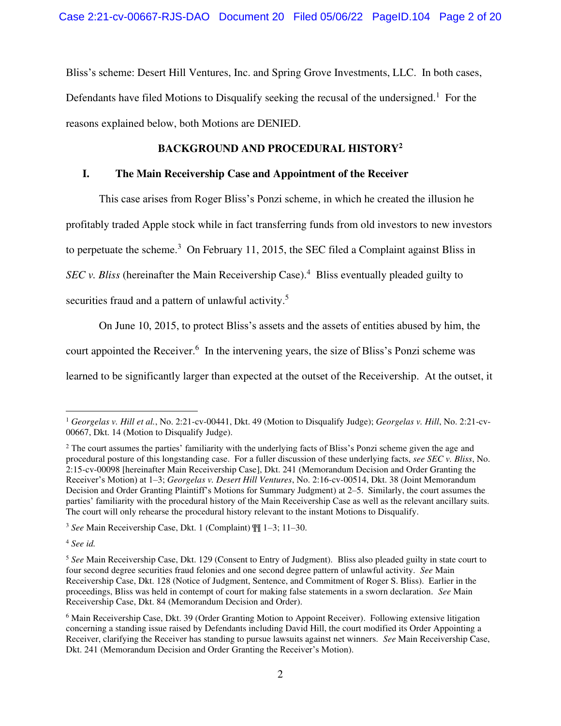Bliss's scheme: Desert Hill Ventures, Inc. and Spring Grove Investments, LLC. In both cases, Defendants have filed Motions to Disqualify seeking the recusal of the undersigned.<sup>1</sup> For the reasons explained below, both Motions are DENIED.

## **BACKGROUND AND PROCEDURAL HISTORY<sup>2</sup>**

## **I. The Main Receivership Case and Appointment of the Receiver**

This case arises from Roger Bliss's Ponzi scheme, in which he created the illusion he

profitably traded Apple stock while in fact transferring funds from old investors to new investors

to perpetuate the scheme.<sup>3</sup> On February 11, 2015, the SEC filed a Complaint against Bliss in

SEC v. Bliss (hereinafter the Main Receivership Case).<sup>4</sup> Bliss eventually pleaded guilty to

securities fraud and a pattern of unlawful activity.<sup>5</sup>

On June 10, 2015, to protect Bliss's assets and the assets of entities abused by him, the

court appointed the Receiver.<sup>6</sup> In the intervening years, the size of Bliss's Ponzi scheme was

learned to be significantly larger than expected at the outset of the Receivership. At the outset, it

<sup>3</sup> *See* Main Receivership Case, Dkt. 1 (Complaint) ¶¶ 1–3; 11–30.

<sup>4</sup> *See id.* 

<sup>1</sup> *Georgelas v. Hill et al.*, No. 2:21-cv-00441, Dkt. 49 (Motion to Disqualify Judge); *Georgelas v. Hill*, No. 2:21-cv-00667, Dkt. 14 (Motion to Disqualify Judge).

<sup>&</sup>lt;sup>2</sup> The court assumes the parties' familiarity with the underlying facts of Bliss's Ponzi scheme given the age and procedural posture of this longstanding case. For a fuller discussion of these underlying facts, *see SEC v. Bliss*, No. 2:15-cv-00098 [hereinafter Main Receivership Case], Dkt. 241 (Memorandum Decision and Order Granting the Receiver's Motion) at 1–3; *Georgelas v. Desert Hill Ventures*, No. 2:16-cv-00514, Dkt. 38 (Joint Memorandum Decision and Order Granting Plaintiff's Motions for Summary Judgment) at 2–5. Similarly, the court assumes the parties' familiarity with the procedural history of the Main Receivership Case as well as the relevant ancillary suits. The court will only rehearse the procedural history relevant to the instant Motions to Disqualify.

<sup>5</sup> *See* Main Receivership Case, Dkt. 129 (Consent to Entry of Judgment). Bliss also pleaded guilty in state court to four second degree securities fraud felonies and one second degree pattern of unlawful activity. *See* Main Receivership Case, Dkt. 128 (Notice of Judgment, Sentence, and Commitment of Roger S. Bliss). Earlier in the proceedings, Bliss was held in contempt of court for making false statements in a sworn declaration. *See* Main Receivership Case, Dkt. 84 (Memorandum Decision and Order).

<sup>&</sup>lt;sup>6</sup> Main Receivership Case, Dkt. 39 (Order Granting Motion to Appoint Receiver). Following extensive litigation concerning a standing issue raised by Defendants including David Hill, the court modified its Order Appointing a Receiver, clarifying the Receiver has standing to pursue lawsuits against net winners. *See* Main Receivership Case, Dkt. 241 (Memorandum Decision and Order Granting the Receiver's Motion).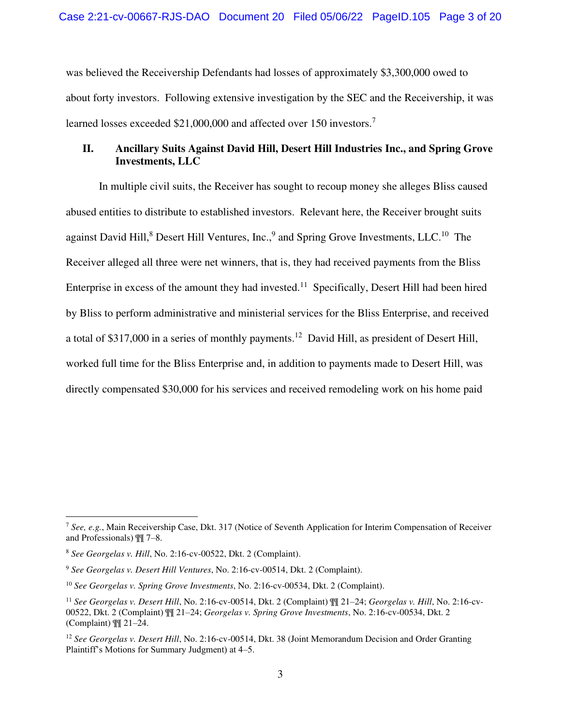was believed the Receivership Defendants had losses of approximately \$3,300,000 owed to about forty investors. Following extensive investigation by the SEC and the Receivership, it was learned losses exceeded \$21,000,000 and affected over 150 investors.<sup>7</sup>

# **II. Ancillary Suits Against David Hill, Desert Hill Industries Inc., and Spring Grove Investments, LLC**

In multiple civil suits, the Receiver has sought to recoup money she alleges Bliss caused abused entities to distribute to established investors. Relevant here, the Receiver brought suits against David Hill,<sup>8</sup> Desert Hill Ventures, Inc.,<sup>9</sup> and Spring Grove Investments, LLC.<sup>10</sup> The Receiver alleged all three were net winners, that is, they had received payments from the Bliss Enterprise in excess of the amount they had invested.<sup>11</sup> Specifically, Desert Hill had been hired by Bliss to perform administrative and ministerial services for the Bliss Enterprise, and received a total of \$317,000 in a series of monthly payments.<sup>12</sup> David Hill, as president of Desert Hill, worked full time for the Bliss Enterprise and, in addition to payments made to Desert Hill, was directly compensated \$30,000 for his services and received remodeling work on his home paid

<sup>7</sup> *See, e.g.*, Main Receivership Case, Dkt. 317 (Notice of Seventh Application for Interim Compensation of Receiver and Professionals) ¶¶ 7–8.

<sup>8</sup> *See Georgelas v. Hill*, No. 2:16-cv-00522, Dkt. 2 (Complaint).

<sup>9</sup> *See Georgelas v. Desert Hill Ventures*, No. 2:16-cv-00514, Dkt. 2 (Complaint).

<sup>10</sup> *See Georgelas v. Spring Grove Investments*, No. 2:16-cv-00534, Dkt. 2 (Complaint).

<sup>11</sup> *See Georgelas v. Desert Hill*, No. 2:16-cv-00514, Dkt. 2 (Complaint) ¶¶ 21–24; *Georgelas v. Hill*, No. 2:16-cv-00522, Dkt. 2 (Complaint) ¶¶ 21–24; *Georgelas v. Spring Grove Investments*, No. 2:16-cv-00534, Dkt. 2 (Complaint) ¶¶ 21–24.

<sup>&</sup>lt;sup>12</sup> See Georgelas v. Desert Hill, No. 2:16-cv-00514, Dkt. 38 (Joint Memorandum Decision and Order Granting Plaintiff's Motions for Summary Judgment) at 4–5.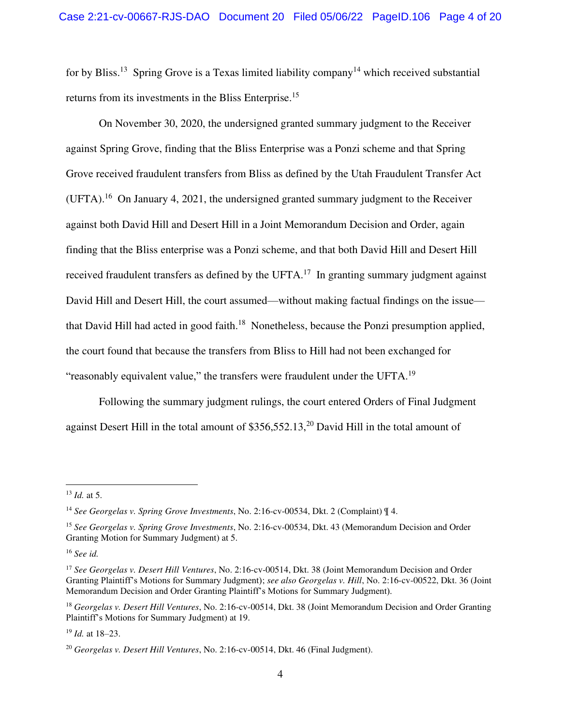for by Bliss.<sup>13</sup> Spring Grove is a Texas limited liability company<sup>14</sup> which received substantial returns from its investments in the Bliss Enterprise.<sup>15</sup>

On November 30, 2020, the undersigned granted summary judgment to the Receiver against Spring Grove, finding that the Bliss Enterprise was a Ponzi scheme and that Spring Grove received fraudulent transfers from Bliss as defined by the Utah Fraudulent Transfer Act  $(UFTA).$ <sup>16</sup> On January 4, 2021, the undersigned granted summary judgment to the Receiver against both David Hill and Desert Hill in a Joint Memorandum Decision and Order, again finding that the Bliss enterprise was a Ponzi scheme, and that both David Hill and Desert Hill received fraudulent transfers as defined by the UFTA.<sup>17</sup> In granting summary judgment against David Hill and Desert Hill, the court assumed—without making factual findings on the issue that David Hill had acted in good faith.<sup>18</sup> Nonetheless, because the Ponzi presumption applied, the court found that because the transfers from Bliss to Hill had not been exchanged for "reasonably equivalent value," the transfers were fraudulent under the UFTA.<sup>19</sup>

Following the summary judgment rulings, the court entered Orders of Final Judgment against Desert Hill in the total amount of  $$356,552.13<sup>20</sup>$  David Hill in the total amount of

<sup>16</sup> *See id.*

<sup>19</sup> *Id.* at 18–23.

<sup>13</sup> *Id.* at 5.

<sup>14</sup> *See Georgelas v. Spring Grove Investments*, No. 2:16-cv-00534, Dkt. 2 (Complaint) ¶ 4.

<sup>15</sup> *See Georgelas v. Spring Grove Investments*, No. 2:16-cv-00534, Dkt. 43 (Memorandum Decision and Order Granting Motion for Summary Judgment) at 5.

<sup>17</sup> *See Georgelas v. Desert Hill Ventures*, No. 2:16-cv-00514, Dkt. 38 (Joint Memorandum Decision and Order Granting Plaintiff's Motions for Summary Judgment); *see also Georgelas v. Hill*, No. 2:16-cv-00522, Dkt. 36 (Joint Memorandum Decision and Order Granting Plaintiff's Motions for Summary Judgment).

<sup>18</sup> *Georgelas v. Desert Hill Ventures*, No. 2:16-cv-00514, Dkt. 38 (Joint Memorandum Decision and Order Granting Plaintiff's Motions for Summary Judgment) at 19.

<sup>20</sup> *Georgelas v. Desert Hill Ventures*, No. 2:16-cv-00514, Dkt. 46 (Final Judgment).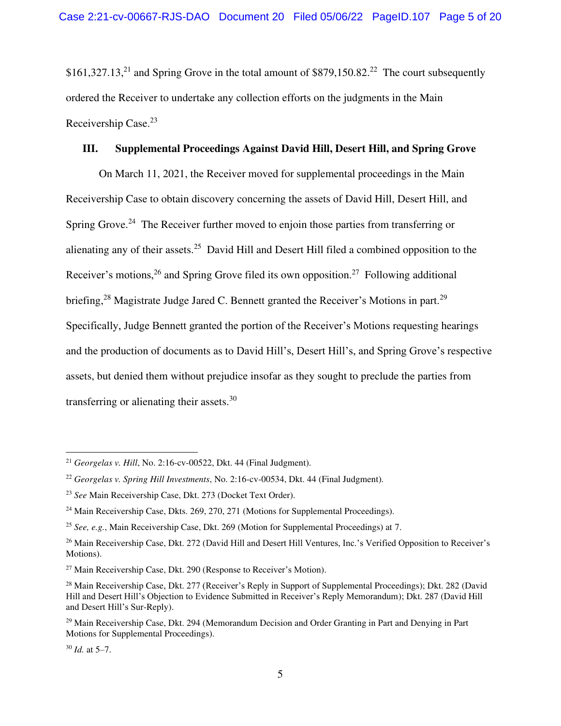\$161,327.13,<sup>21</sup> and Spring Grove in the total amount of \$879,150.82.<sup>22</sup> The court subsequently ordered the Receiver to undertake any collection efforts on the judgments in the Main Receivership Case.<sup>23</sup>

#### **III. Supplemental Proceedings Against David Hill, Desert Hill, and Spring Grove**

On March 11, 2021, the Receiver moved for supplemental proceedings in the Main Receivership Case to obtain discovery concerning the assets of David Hill, Desert Hill, and Spring Grove.<sup>24</sup> The Receiver further moved to enjoin those parties from transferring or alienating any of their assets.<sup>25</sup> David Hill and Desert Hill filed a combined opposition to the Receiver's motions,  $26$  and Spring Grove filed its own opposition. <sup>27</sup> Following additional briefing,<sup>28</sup> Magistrate Judge Jared C. Bennett granted the Receiver's Motions in part.<sup>29</sup> Specifically, Judge Bennett granted the portion of the Receiver's Motions requesting hearings and the production of documents as to David Hill's, Desert Hill's, and Spring Grove's respective assets, but denied them without prejudice insofar as they sought to preclude the parties from transferring or alienating their assets.<sup>30</sup>

<sup>21</sup> *Georgelas v. Hill*, No. 2:16-cv-00522, Dkt. 44 (Final Judgment).

<sup>22</sup> *Georgelas v. Spring Hill Investments*, No. 2:16-cv-00534, Dkt. 44 (Final Judgment).

<sup>23</sup> *See* Main Receivership Case, Dkt. 273 (Docket Text Order).

<sup>&</sup>lt;sup>24</sup> Main Receivership Case, Dkts. 269, 270, 271 (Motions for Supplemental Proceedings).

<sup>25</sup> *See, e.g.*, Main Receivership Case, Dkt. 269 (Motion for Supplemental Proceedings) at 7.

<sup>&</sup>lt;sup>26</sup> Main Receivership Case, Dkt. 272 (David Hill and Desert Hill Ventures, Inc.'s Verified Opposition to Receiver's Motions).

 $27$  Main Receivership Case, Dkt. 290 (Response to Receiver's Motion).

<sup>&</sup>lt;sup>28</sup> Main Receivership Case, Dkt. 277 (Receiver's Reply in Support of Supplemental Proceedings); Dkt. 282 (David Hill and Desert Hill's Objection to Evidence Submitted in Receiver's Reply Memorandum); Dkt. 287 (David Hill and Desert Hill's Sur-Reply).

<sup>&</sup>lt;sup>29</sup> Main Receivership Case, Dkt. 294 (Memorandum Decision and Order Granting in Part and Denying in Part Motions for Supplemental Proceedings).

<sup>30</sup> *Id.* at 5–7.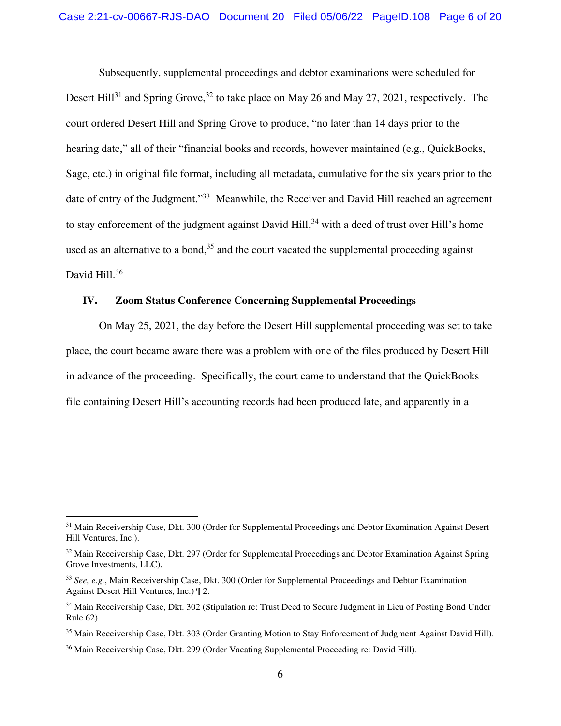Subsequently, supplemental proceedings and debtor examinations were scheduled for Desert Hill<sup>31</sup> and Spring Grove,<sup>32</sup> to take place on May 26 and May 27, 2021, respectively. The court ordered Desert Hill and Spring Grove to produce, "no later than 14 days prior to the hearing date," all of their "financial books and records, however maintained (e.g., QuickBooks, Sage, etc.) in original file format, including all metadata, cumulative for the six years prior to the date of entry of the Judgment."<sup>33</sup> Meanwhile, the Receiver and David Hill reached an agreement to stay enforcement of the judgment against David Hill,<sup>34</sup> with a deed of trust over Hill's home used as an alternative to a bond, $35$  and the court vacated the supplemental proceeding against David Hill.<sup>36</sup>

## **IV. Zoom Status Conference Concerning Supplemental Proceedings**

On May 25, 2021, the day before the Desert Hill supplemental proceeding was set to take place, the court became aware there was a problem with one of the files produced by Desert Hill in advance of the proceeding. Specifically, the court came to understand that the QuickBooks file containing Desert Hill's accounting records had been produced late, and apparently in a

<sup>&</sup>lt;sup>31</sup> Main Receivership Case, Dkt. 300 (Order for Supplemental Proceedings and Debtor Examination Against Desert Hill Ventures, Inc.).

<sup>&</sup>lt;sup>32</sup> Main Receivership Case, Dkt. 297 (Order for Supplemental Proceedings and Debtor Examination Against Spring Grove Investments, LLC).

<sup>33</sup> *See, e.g.*, Main Receivership Case, Dkt. 300 (Order for Supplemental Proceedings and Debtor Examination Against Desert Hill Ventures, Inc.) ¶ 2.

<sup>&</sup>lt;sup>34</sup> Main Receivership Case, Dkt. 302 (Stipulation re: Trust Deed to Secure Judgment in Lieu of Posting Bond Under Rule 62).

<sup>35</sup> Main Receivership Case, Dkt. 303 (Order Granting Motion to Stay Enforcement of Judgment Against David Hill).

<sup>36</sup> Main Receivership Case, Dkt. 299 (Order Vacating Supplemental Proceeding re: David Hill).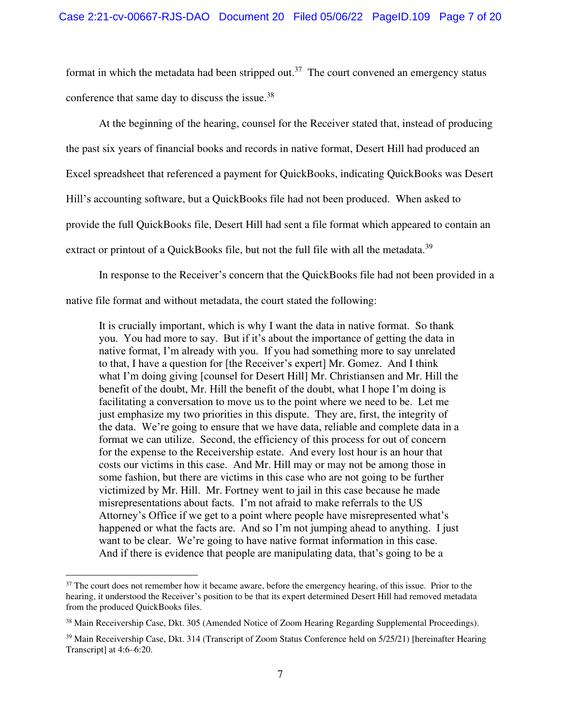format in which the metadata had been stripped out.<sup>37</sup> The court convened an emergency status conference that same day to discuss the issue.<sup>38</sup>

At the beginning of the hearing, counsel for the Receiver stated that, instead of producing the past six years of financial books and records in native format, Desert Hill had produced an Excel spreadsheet that referenced a payment for QuickBooks, indicating QuickBooks was Desert Hill's accounting software, but a QuickBooks file had not been produced. When asked to provide the full QuickBooks file, Desert Hill had sent a file format which appeared to contain an extract or printout of a QuickBooks file, but not the full file with all the metadata.<sup>39</sup>

In response to the Receiver's concern that the QuickBooks file had not been provided in a

native file format and without metadata, the court stated the following:

It is crucially important, which is why I want the data in native format. So thank you. You had more to say. But if it's about the importance of getting the data in native format, I'm already with you. If you had something more to say unrelated to that, I have a question for [the Receiver's expert] Mr. Gomez. And I think what I'm doing giving [counsel for Desert Hill] Mr. Christiansen and Mr. Hill the benefit of the doubt, Mr. Hill the benefit of the doubt, what I hope I'm doing is facilitating a conversation to move us to the point where we need to be. Let me just emphasize my two priorities in this dispute. They are, first, the integrity of the data. We're going to ensure that we have data, reliable and complete data in a format we can utilize. Second, the efficiency of this process for out of concern for the expense to the Receivership estate. And every lost hour is an hour that costs our victims in this case. And Mr. Hill may or may not be among those in some fashion, but there are victims in this case who are not going to be further victimized by Mr. Hill. Mr. Fortney went to jail in this case because he made misrepresentations about facts. I'm not afraid to make referrals to the US Attorney's Office if we get to a point where people have misrepresented what's happened or what the facts are. And so I'm not jumping ahead to anything. I just want to be clear. We're going to have native format information in this case. And if there is evidence that people are manipulating data, that's going to be a

<sup>&</sup>lt;sup>37</sup> The court does not remember how it became aware, before the emergency hearing, of this issue. Prior to the hearing, it understood the Receiver's position to be that its expert determined Desert Hill had removed metadata from the produced QuickBooks files.

<sup>38</sup> Main Receivership Case, Dkt. 305 (Amended Notice of Zoom Hearing Regarding Supplemental Proceedings).

<sup>&</sup>lt;sup>39</sup> Main Receivership Case, Dkt. 314 (Transcript of Zoom Status Conference held on 5/25/21) [hereinafter Hearing Transcript] at 4:6–6:20.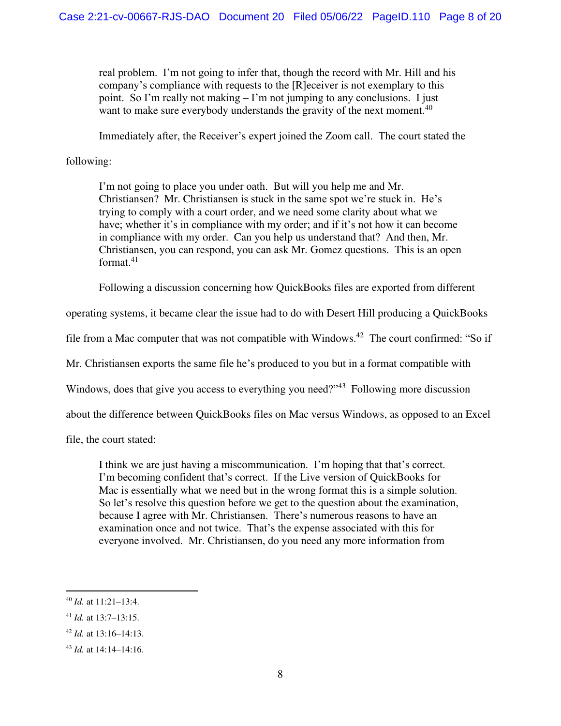real problem. I'm not going to infer that, though the record with Mr. Hill and his company's compliance with requests to the [R]eceiver is not exemplary to this point. So I'm really not making – I'm not jumping to any conclusions. I just want to make sure everybody understands the gravity of the next moment.<sup>40</sup>

Immediately after, the Receiver's expert joined the Zoom call. The court stated the

## following:

I'm not going to place you under oath. But will you help me and Mr. Christiansen? Mr. Christiansen is stuck in the same spot we're stuck in. He's trying to comply with a court order, and we need some clarity about what we have; whether it's in compliance with my order; and if it's not how it can become in compliance with my order. Can you help us understand that? And then, Mr. Christiansen, you can respond, you can ask Mr. Gomez questions. This is an open format. $41$ 

Following a discussion concerning how QuickBooks files are exported from different

operating systems, it became clear the issue had to do with Desert Hill producing a QuickBooks

file from a Mac computer that was not compatible with Windows.<sup>42</sup> The court confirmed: "So if

Mr. Christiansen exports the same file he's produced to you but in a format compatible with

Windows, does that give you access to everything you need?"<sup>43</sup> Following more discussion

about the difference between QuickBooks files on Mac versus Windows, as opposed to an Excel

file, the court stated:

I think we are just having a miscommunication. I'm hoping that that's correct. I'm becoming confident that's correct. If the Live version of QuickBooks for Mac is essentially what we need but in the wrong format this is a simple solution. So let's resolve this question before we get to the question about the examination, because I agree with Mr. Christiansen. There's numerous reasons to have an examination once and not twice. That's the expense associated with this for everyone involved. Mr. Christiansen, do you need any more information from

<sup>40</sup> *Id.* at 11:21–13:4.

<sup>41</sup> *Id.* at 13:7–13:15.

<sup>42</sup> *Id.* at 13:16–14:13.

<sup>43</sup> *Id.* at 14:14–14:16.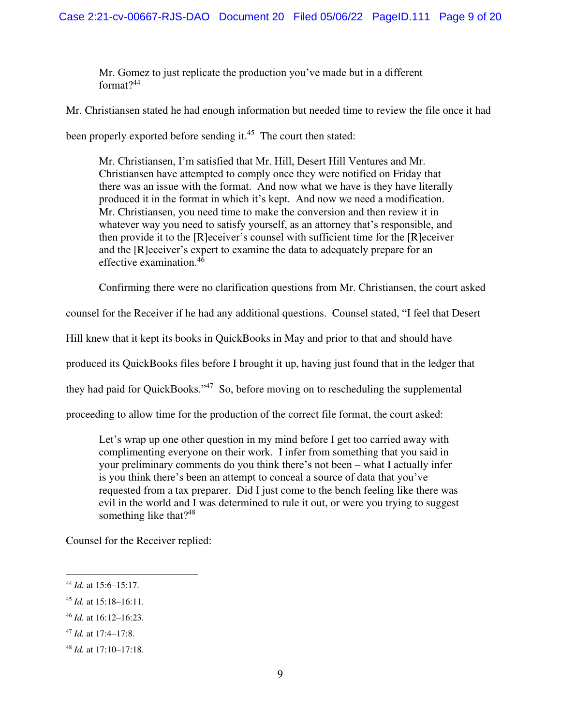Mr. Gomez to just replicate the production you've made but in a different format $?^{44}$ 

Mr. Christiansen stated he had enough information but needed time to review the file once it had

been properly exported before sending it.<sup>45</sup> The court then stated:

Mr. Christiansen, I'm satisfied that Mr. Hill, Desert Hill Ventures and Mr. Christiansen have attempted to comply once they were notified on Friday that there was an issue with the format. And now what we have is they have literally produced it in the format in which it's kept. And now we need a modification. Mr. Christiansen, you need time to make the conversion and then review it in whatever way you need to satisfy yourself, as an attorney that's responsible, and then provide it to the [R]eceiver's counsel with sufficient time for the [R]eceiver and the [R]eceiver's expert to examine the data to adequately prepare for an effective examination.<sup>46</sup>

Confirming there were no clarification questions from Mr. Christiansen, the court asked

counsel for the Receiver if he had any additional questions. Counsel stated, "I feel that Desert

Hill knew that it kept its books in QuickBooks in May and prior to that and should have

produced its QuickBooks files before I brought it up, having just found that in the ledger that

they had paid for QuickBooks."<sup>47</sup> So, before moving on to rescheduling the supplemental

proceeding to allow time for the production of the correct file format, the court asked:

Let's wrap up one other question in my mind before I get too carried away with complimenting everyone on their work. I infer from something that you said in your preliminary comments do you think there's not been – what I actually infer is you think there's been an attempt to conceal a source of data that you've requested from a tax preparer. Did I just come to the bench feeling like there was evil in the world and I was determined to rule it out, or were you trying to suggest something like that?<sup>48</sup>

Counsel for the Receiver replied:

<sup>44</sup> *Id.* at 15:6–15:17.

<sup>45</sup> *Id.* at 15:18–16:11.

<sup>46</sup> *Id.* at 16:12–16:23.

<sup>47</sup> *Id.* at 17:4–17:8.

<sup>48</sup> *Id.* at 17:10–17:18.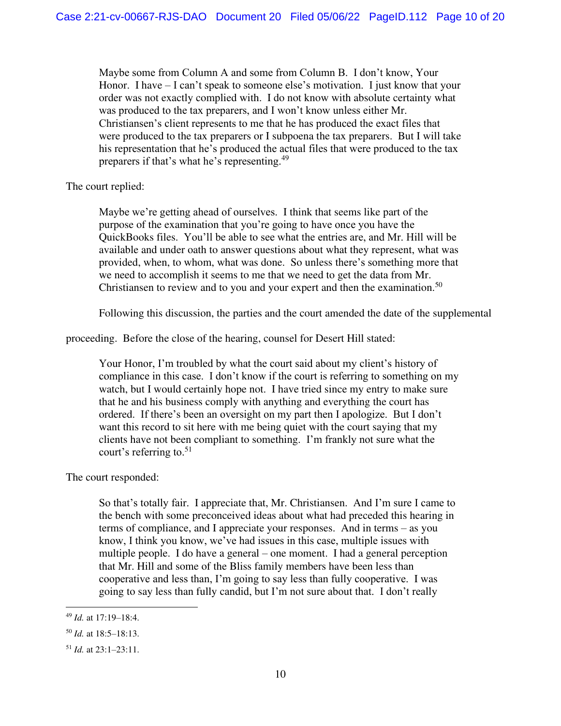Maybe some from Column A and some from Column B. I don't know, Your Honor. I have – I can't speak to someone else's motivation. I just know that your order was not exactly complied with. I do not know with absolute certainty what was produced to the tax preparers, and I won't know unless either Mr. Christiansen's client represents to me that he has produced the exact files that were produced to the tax preparers or I subpoena the tax preparers. But I will take his representation that he's produced the actual files that were produced to the tax preparers if that's what he's representing.<sup>49</sup>

The court replied:

Maybe we're getting ahead of ourselves. I think that seems like part of the purpose of the examination that you're going to have once you have the QuickBooks files. You'll be able to see what the entries are, and Mr. Hill will be available and under oath to answer questions about what they represent, what was provided, when, to whom, what was done. So unless there's something more that we need to accomplish it seems to me that we need to get the data from Mr. Christiansen to review and to you and your expert and then the examination.<sup>50</sup>

Following this discussion, the parties and the court amended the date of the supplemental

proceeding. Before the close of the hearing, counsel for Desert Hill stated:

Your Honor, I'm troubled by what the court said about my client's history of compliance in this case. I don't know if the court is referring to something on my watch, but I would certainly hope not. I have tried since my entry to make sure that he and his business comply with anything and everything the court has ordered. If there's been an oversight on my part then I apologize. But I don't want this record to sit here with me being quiet with the court saying that my clients have not been compliant to something. I'm frankly not sure what the court's referring to.<sup>51</sup>

The court responded:

So that's totally fair. I appreciate that, Mr. Christiansen. And I'm sure I came to the bench with some preconceived ideas about what had preceded this hearing in terms of compliance, and I appreciate your responses. And in terms – as you know, I think you know, we've had issues in this case, multiple issues with multiple people. I do have a general – one moment. I had a general perception that Mr. Hill and some of the Bliss family members have been less than cooperative and less than, I'm going to say less than fully cooperative. I was going to say less than fully candid, but I'm not sure about that. I don't really

<sup>49</sup> *Id.* at 17:19–18:4.

<sup>50</sup> *Id.* at 18:5–18:13.

<sup>51</sup> *Id.* at 23:1–23:11.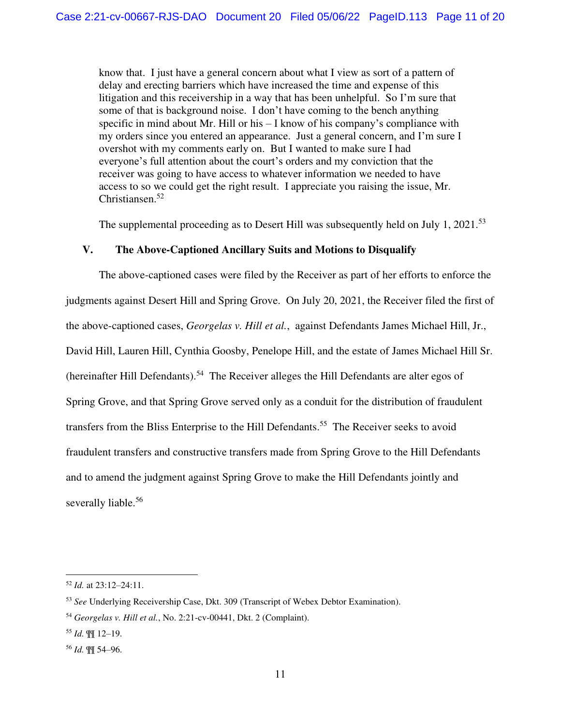know that. I just have a general concern about what I view as sort of a pattern of delay and erecting barriers which have increased the time and expense of this litigation and this receivership in a way that has been unhelpful. So I'm sure that some of that is background noise. I don't have coming to the bench anything specific in mind about Mr. Hill or his – I know of his company's compliance with my orders since you entered an appearance. Just a general concern, and I'm sure I overshot with my comments early on. But I wanted to make sure I had everyone's full attention about the court's orders and my conviction that the receiver was going to have access to whatever information we needed to have access to so we could get the right result. I appreciate you raising the issue, Mr. Christiansen.<sup>52</sup>

The supplemental proceeding as to Desert Hill was subsequently held on July 1, 2021.<sup>53</sup>

#### **V. The Above-Captioned Ancillary Suits and Motions to Disqualify**

The above-captioned cases were filed by the Receiver as part of her efforts to enforce the judgments against Desert Hill and Spring Grove. On July 20, 2021, the Receiver filed the first of the above-captioned cases, *Georgelas v. Hill et al.*, against Defendants James Michael Hill, Jr., David Hill, Lauren Hill, Cynthia Goosby, Penelope Hill, and the estate of James Michael Hill Sr. (hereinafter Hill Defendants).<sup>54</sup> The Receiver alleges the Hill Defendants are alter egos of Spring Grove, and that Spring Grove served only as a conduit for the distribution of fraudulent transfers from the Bliss Enterprise to the Hill Defendants.<sup>55</sup> The Receiver seeks to avoid fraudulent transfers and constructive transfers made from Spring Grove to the Hill Defendants and to amend the judgment against Spring Grove to make the Hill Defendants jointly and severally liable.<sup>56</sup>

<sup>52</sup> *Id.* at 23:12–24:11.

<sup>53</sup> *See* Underlying Receivership Case, Dkt. 309 (Transcript of Webex Debtor Examination).

<sup>54</sup> *Georgelas v. Hill et al.*, No. 2:21-cv-00441, Dkt. 2 (Complaint).

<sup>55</sup> *Id.* ¶¶ 12–19.

<sup>56</sup> *Id.* ¶¶ 54–96.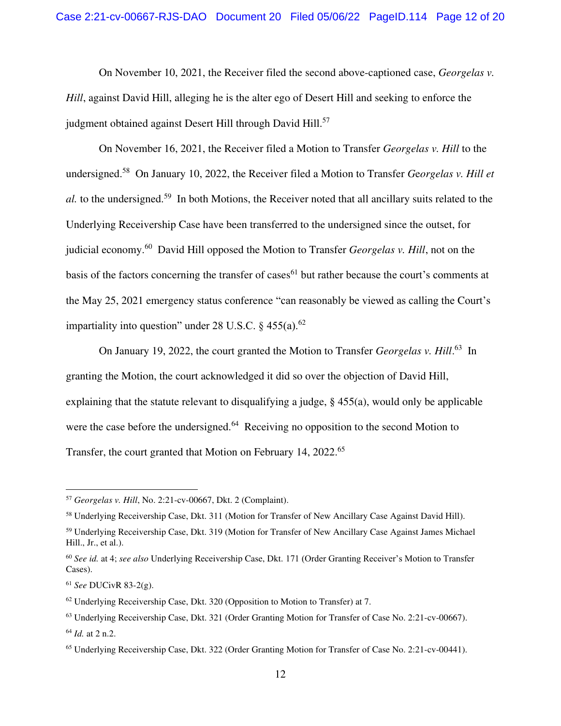On November 10, 2021, the Receiver filed the second above-captioned case, *Georgelas v. Hill*, against David Hill, alleging he is the alter ego of Desert Hill and seeking to enforce the judgment obtained against Desert Hill through David Hill.<sup>57</sup>

On November 16, 2021, the Receiver filed a Motion to Transfer *Georgelas v. Hill* to the undersigned.<sup>58</sup> On January 10, 2022, the Receiver filed a Motion to Transfer *G*e*orgelas v. Hill et al.* to the undersigned.<sup>59</sup> In both Motions, the Receiver noted that all ancillary suits related to the Underlying Receivership Case have been transferred to the undersigned since the outset, for judicial economy.<sup>60</sup> David Hill opposed the Motion to Transfer *Georgelas v. Hill*, not on the basis of the factors concerning the transfer of cases<sup>61</sup> but rather because the court's comments at the May 25, 2021 emergency status conference "can reasonably be viewed as calling the Court's impartiality into question" under 28 U.S.C.  $\frac{6}{9}$  455(a).<sup>62</sup>

On January 19, 2022, the court granted the Motion to Transfer *Georgelas v. Hill*. <sup>63</sup> In granting the Motion, the court acknowledged it did so over the objection of David Hill, explaining that the statute relevant to disqualifying a judge, § 455(a), would only be applicable were the case before the undersigned.<sup>64</sup> Receiving no opposition to the second Motion to Transfer, the court granted that Motion on February 14, 2022.<sup>65</sup>

<sup>57</sup> *Georgelas v. Hill*, No. 2:21-cv-00667, Dkt. 2 (Complaint).

<sup>58</sup> Underlying Receivership Case, Dkt. 311 (Motion for Transfer of New Ancillary Case Against David Hill).

<sup>59</sup> Underlying Receivership Case, Dkt. 319 (Motion for Transfer of New Ancillary Case Against James Michael Hill., Jr., et al.).

<sup>60</sup> *See id.* at 4; *see also* Underlying Receivership Case, Dkt. 171 (Order Granting Receiver's Motion to Transfer Cases).

<sup>61</sup> *See* DUCivR 83-2(g).

 $62$  Underlying Receivership Case, Dkt. 320 (Opposition to Motion to Transfer) at 7.

<sup>63</sup> Underlying Receivership Case, Dkt. 321 (Order Granting Motion for Transfer of Case No. 2:21-cv-00667). <sup>64</sup> *Id.* at 2 n.2.

<sup>65</sup> Underlying Receivership Case, Dkt. 322 (Order Granting Motion for Transfer of Case No. 2:21-cv-00441).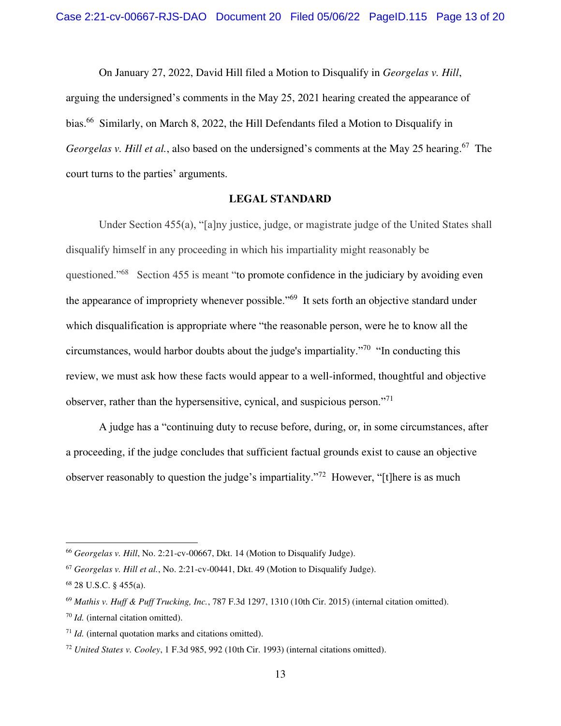On January 27, 2022, David Hill filed a Motion to Disqualify in *Georgelas v. Hill*, arguing the undersigned's comments in the May 25, 2021 hearing created the appearance of bias.<sup>66</sup> Similarly, on March 8, 2022, the Hill Defendants filed a Motion to Disqualify in *Georgelas v. Hill et al.*, also based on the undersigned's comments at the May 25 hearing.<sup>67</sup> The court turns to the parties' arguments.

#### **LEGAL STANDARD**

Under Section 455(a), "[a]ny justice, judge, or magistrate judge of the United States shall disqualify himself in any proceeding in which his impartiality might reasonably be questioned."<sup>68</sup> Section 455 is meant "to promote confidence in the judiciary by avoiding even the appearance of impropriety whenever possible."<sup>69</sup> It sets forth an objective standard under which disqualification is appropriate where "the reasonable person, were he to know all the circumstances, would harbor doubts about the judge's impartiality."<sup>70</sup> "In conducting this review, we must ask how these facts would appear to a well-informed, thoughtful and objective observer, rather than the hypersensitive, cynical, and suspicious person."<sup>71</sup>

A judge has a "continuing duty to recuse before, during, or, in some circumstances, after a proceeding, if the judge concludes that sufficient factual grounds exist to cause an objective observer reasonably to question the judge's impartiality."<sup>72</sup> However, "[t]here is as much

<sup>66</sup> *Georgelas v. Hill*, No. 2:21-cv-00667, Dkt. 14 (Motion to Disqualify Judge).

<sup>67</sup> *Georgelas v. Hill et al.*, No. 2:21-cv-00441, Dkt. 49 (Motion to Disqualify Judge).

<sup>68</sup> 28 U.S.C. § 455(a).

<sup>69</sup> *Mathis v. Huff & Puff Trucking, Inc.*, 787 F.3d 1297, 1310 (10th Cir. 2015) (internal citation omitted).

<sup>70</sup> *Id.* (internal citation omitted).

<sup>71</sup> *Id.* (internal quotation marks and citations omitted).

<sup>72</sup> *United States v. Cooley*, 1 F.3d 985, 992 (10th Cir. 1993) (internal citations omitted).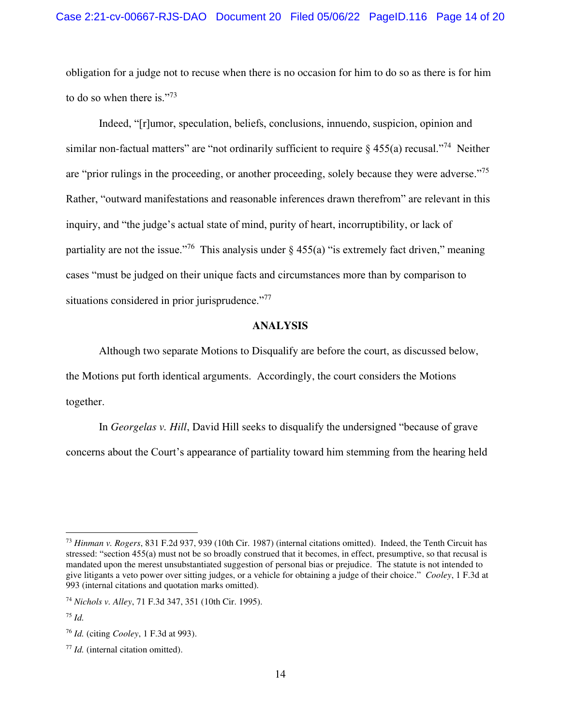obligation for a judge not to recuse when there is no occasion for him to do so as there is for him to do so when there is."<sup>73</sup>

Indeed, "[r]umor, speculation, beliefs, conclusions, innuendo, suspicion, opinion and similar non-factual matters" are "not ordinarily sufficient to require  $\delta$  455(a) recusal."<sup>74</sup> Neither are "prior rulings in the proceeding, or another proceeding, solely because they were adverse."<sup>75</sup> Rather, "outward manifestations and reasonable inferences drawn therefrom" are relevant in this inquiry, and "the judge's actual state of mind, purity of heart, incorruptibility, or lack of partiality are not the issue."<sup>76</sup> This analysis under  $\S$  455(a) "is extremely fact driven," meaning cases "must be judged on their unique facts and circumstances more than by comparison to situations considered in prior jurisprudence."<sup>77</sup>

#### **ANALYSIS**

Although two separate Motions to Disqualify are before the court, as discussed below, the Motions put forth identical arguments. Accordingly, the court considers the Motions together.

In *Georgelas v. Hill*, David Hill seeks to disqualify the undersigned "because of grave concerns about the Court's appearance of partiality toward him stemming from the hearing held

<sup>73</sup> *Hinman v. Rogers*, 831 F.2d 937, 939 (10th Cir. 1987) (internal citations omitted). Indeed, the Tenth Circuit has stressed: "section 455(a) must not be so broadly construed that it becomes, in effect, presumptive, so that recusal is mandated upon the merest unsubstantiated suggestion of personal bias or prejudice. The statute is not intended to give litigants a veto power over sitting judges, or a vehicle for obtaining a judge of their choice." *Cooley*, 1 F.3d at 993 (internal citations and quotation marks omitted).

<sup>74</sup> *Nichols v. Alley*, 71 F.3d 347, 351 (10th Cir. 1995).

<sup>75</sup> *Id.*

<sup>76</sup> *Id.* (citing *Cooley*, 1 F.3d at 993).

<sup>77</sup> *Id.* (internal citation omitted).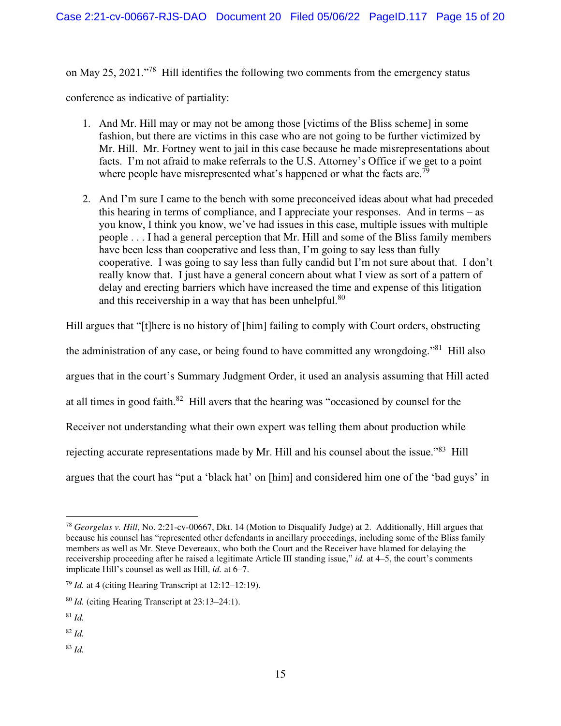on May 25, 2021."<sup>78</sup> Hill identifies the following two comments from the emergency status

conference as indicative of partiality:

- 1. And Mr. Hill may or may not be among those [victims of the Bliss scheme] in some fashion, but there are victims in this case who are not going to be further victimized by Mr. Hill. Mr. Fortney went to jail in this case because he made misrepresentations about facts. I'm not afraid to make referrals to the U.S. Attorney's Office if we get to a point where people have misrepresented what's happened or what the facts are.<sup>79</sup>
- 2. And I'm sure I came to the bench with some preconceived ideas about what had preceded this hearing in terms of compliance, and I appreciate your responses. And in terms – as you know, I think you know, we've had issues in this case, multiple issues with multiple people . . . I had a general perception that Mr. Hill and some of the Bliss family members have been less than cooperative and less than, I'm going to say less than fully cooperative. I was going to say less than fully candid but I'm not sure about that. I don't really know that. I just have a general concern about what I view as sort of a pattern of delay and erecting barriers which have increased the time and expense of this litigation and this receivership in a way that has been unhelpful.<sup>80</sup>

Hill argues that "[t]here is no history of [him] failing to comply with Court orders, obstructing

the administration of any case, or being found to have committed any wrongdoing."<sup>81</sup> Hill also

argues that in the court's Summary Judgment Order, it used an analysis assuming that Hill acted

at all times in good faith. $82$  Hill avers that the hearing was "occasioned by counsel for the

Receiver not understanding what their own expert was telling them about production while

rejecting accurate representations made by Mr. Hill and his counsel about the issue."<sup>83</sup> Hill

argues that the court has "put a 'black hat' on [him] and considered him one of the 'bad guys' in

<sup>83</sup> *Id.*

<sup>78</sup> *Georgelas v. Hill*, No. 2:21-cv-00667, Dkt. 14 (Motion to Disqualify Judge) at 2. Additionally, Hill argues that because his counsel has "represented other defendants in ancillary proceedings, including some of the Bliss family members as well as Mr. Steve Devereaux, who both the Court and the Receiver have blamed for delaying the receivership proceeding after he raised a legitimate Article III standing issue," *id.* at 4–5, the court's comments implicate Hill's counsel as well as Hill, *id.* at 6–7.

<sup>79</sup> *Id.* at 4 (citing Hearing Transcript at 12:12–12:19).

<sup>80</sup> *Id.* (citing Hearing Transcript at 23:13–24:1).

<sup>81</sup> *Id.*

<sup>82</sup> *Id.*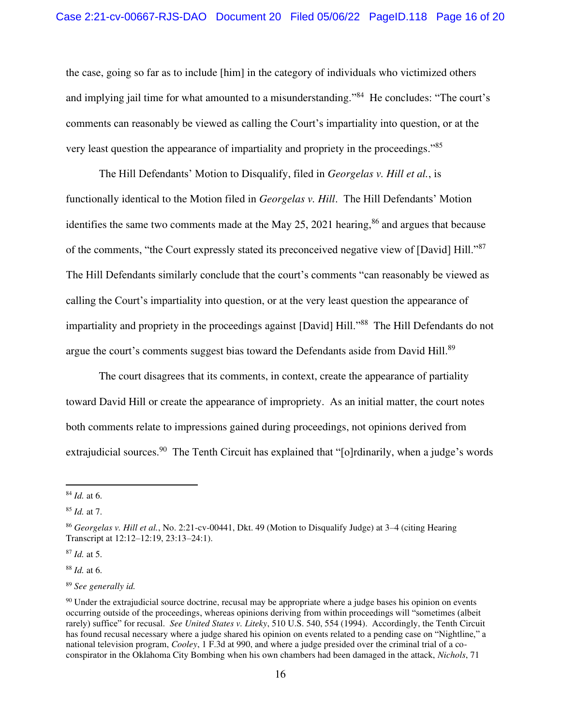the case, going so far as to include [him] in the category of individuals who victimized others and implying jail time for what amounted to a misunderstanding."<sup>84</sup> He concludes: "The court's comments can reasonably be viewed as calling the Court's impartiality into question, or at the very least question the appearance of impartiality and propriety in the proceedings."<sup>85</sup>

The Hill Defendants' Motion to Disqualify, filed in *Georgelas v. Hill et al.*, is functionally identical to the Motion filed in *Georgelas v. Hill*. The Hill Defendants' Motion identifies the same two comments made at the May  $25$ ,  $2021$  hearing,  $86$  and argues that because of the comments, "the Court expressly stated its preconceived negative view of [David] Hill."<sup>87</sup> The Hill Defendants similarly conclude that the court's comments "can reasonably be viewed as calling the Court's impartiality into question, or at the very least question the appearance of impartiality and propriety in the proceedings against [David] Hill.<sup>388</sup> The Hill Defendants do not argue the court's comments suggest bias toward the Defendants aside from David Hill.<sup>89</sup>

 The court disagrees that its comments, in context, create the appearance of partiality toward David Hill or create the appearance of impropriety. As an initial matter, the court notes both comments relate to impressions gained during proceedings, not opinions derived from extrajudicial sources.<sup>90</sup> The Tenth Circuit has explained that "[o]rdinarily, when a judge's words

<sup>87</sup> *Id.* at 5.

<sup>88</sup> *Id.* at 6.

<sup>84</sup> *Id.* at 6.

<sup>85</sup> *Id.* at 7.

<sup>86</sup> *Georgelas v. Hill et al.*, No. 2:21-cv-00441, Dkt. 49 (Motion to Disqualify Judge) at 3–4 (citing Hearing Transcript at 12:12–12:19, 23:13–24:1).

<sup>89</sup> *See generally id.*

<sup>&</sup>lt;sup>90</sup> Under the extrajudicial source doctrine, recusal may be appropriate where a judge bases his opinion on events occurring outside of the proceedings, whereas opinions deriving from within proceedings will "sometimes (albeit rarely) suffice" for recusal. *See United States v. Liteky*, 510 U.S. 540, 554 (1994). Accordingly, the Tenth Circuit has found recusal necessary where a judge shared his opinion on events related to a pending case on "Nightline," a national television program, *Cooley*, 1 F.3d at 990, and where a judge presided over the criminal trial of a coconspirator in the Oklahoma City Bombing when his own chambers had been damaged in the attack, *Nichols*, 71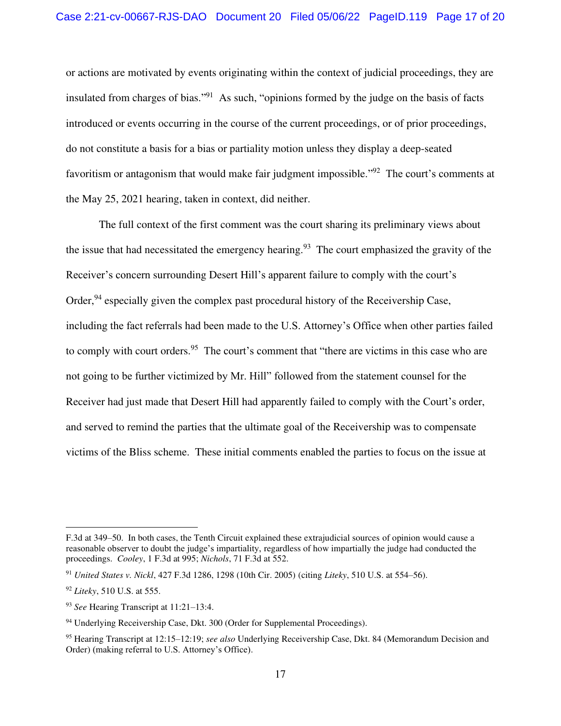or actions are motivated by events originating within the context of judicial proceedings, they are insulated from charges of bias."<sup>91</sup> As such, "opinions formed by the judge on the basis of facts introduced or events occurring in the course of the current proceedings, or of prior proceedings, do not constitute a basis for a bias or partiality motion unless they display a deep-seated favoritism or antagonism that would make fair judgment impossible."<sup>92</sup> The court's comments at the May 25, 2021 hearing, taken in context, did neither.

 The full context of the first comment was the court sharing its preliminary views about the issue that had necessitated the emergency hearing.<sup>93</sup> The court emphasized the gravity of the Receiver's concern surrounding Desert Hill's apparent failure to comply with the court's Order,  $94$  especially given the complex past procedural history of the Receivership Case, including the fact referrals had been made to the U.S. Attorney's Office when other parties failed to comply with court orders.<sup>95</sup> The court's comment that "there are victims in this case who are not going to be further victimized by Mr. Hill" followed from the statement counsel for the Receiver had just made that Desert Hill had apparently failed to comply with the Court's order, and served to remind the parties that the ultimate goal of the Receivership was to compensate victims of the Bliss scheme. These initial comments enabled the parties to focus on the issue at

F.3d at 349–50. In both cases, the Tenth Circuit explained these extrajudicial sources of opinion would cause a reasonable observer to doubt the judge's impartiality, regardless of how impartially the judge had conducted the proceedings. *Cooley*, 1 F.3d at 995; *Nichols*, 71 F.3d at 552.

<sup>91</sup> *United States v. Nickl*, 427 F.3d 1286, 1298 (10th Cir. 2005) (citing *Liteky*, 510 U.S. at 554–56).

<sup>92</sup> *Liteky*, 510 U.S. at 555.

<sup>93</sup> *See* Hearing Transcript at 11:21–13:4.

<sup>&</sup>lt;sup>94</sup> Underlying Receivership Case, Dkt. 300 (Order for Supplemental Proceedings).

<sup>95</sup> Hearing Transcript at 12:15–12:19; *see also* Underlying Receivership Case, Dkt. 84 (Memorandum Decision and Order) (making referral to U.S. Attorney's Office).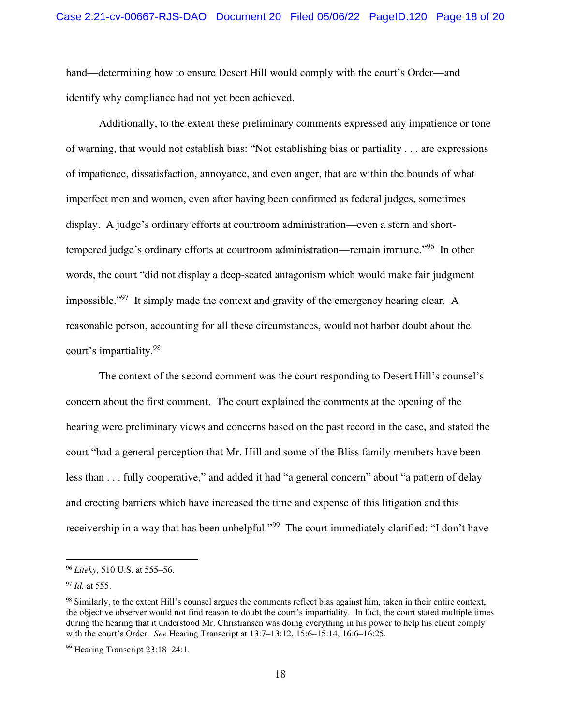hand—determining how to ensure Desert Hill would comply with the court's Order—and identify why compliance had not yet been achieved.

Additionally, to the extent these preliminary comments expressed any impatience or tone of warning, that would not establish bias: "Not establishing bias or partiality . . . are expressions of impatience, dissatisfaction, annoyance, and even anger, that are within the bounds of what imperfect men and women, even after having been confirmed as federal judges, sometimes display. A judge's ordinary efforts at courtroom administration—even a stern and shorttempered judge's ordinary efforts at courtroom administration—remain immune."<sup>96</sup> In other words, the court "did not display a deep-seated antagonism which would make fair judgment impossible."<sup>97</sup> It simply made the context and gravity of the emergency hearing clear. A reasonable person, accounting for all these circumstances, would not harbor doubt about the court's impartiality.<sup>98</sup>

The context of the second comment was the court responding to Desert Hill's counsel's concern about the first comment. The court explained the comments at the opening of the hearing were preliminary views and concerns based on the past record in the case, and stated the court "had a general perception that Mr. Hill and some of the Bliss family members have been less than . . . fully cooperative," and added it had "a general concern" about "a pattern of delay and erecting barriers which have increased the time and expense of this litigation and this receivership in a way that has been unhelpful."<sup>99</sup> The court immediately clarified: "I don't have

<sup>96</sup> *Liteky*, 510 U.S. at 555–56.

<sup>97</sup> *Id.* at 555.

<sup>98</sup> Similarly, to the extent Hill's counsel argues the comments reflect bias against him, taken in their entire context, the objective observer would not find reason to doubt the court's impartiality. In fact, the court stated multiple times during the hearing that it understood Mr. Christiansen was doing everything in his power to help his client comply with the court's Order. *See* Hearing Transcript at 13:7–13:12, 15:6–15:14, 16:6–16:25.

<sup>99</sup> Hearing Transcript 23:18–24:1.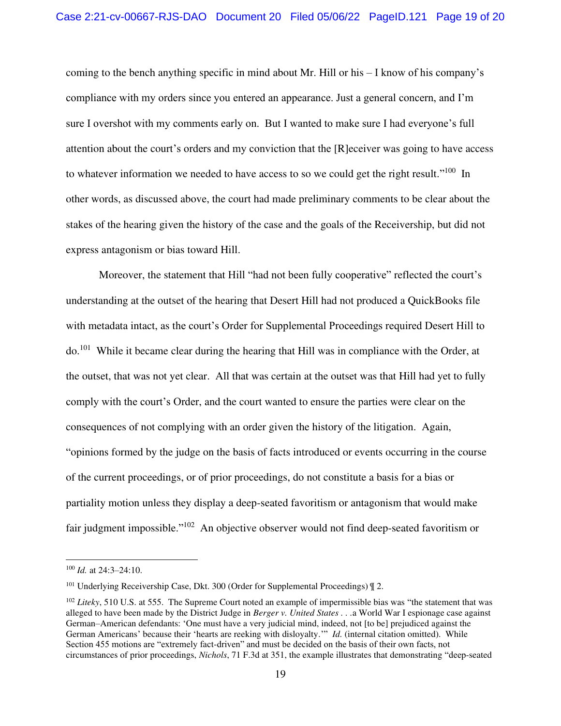coming to the bench anything specific in mind about Mr. Hill or his – I know of his company's compliance with my orders since you entered an appearance. Just a general concern, and I'm sure I overshot with my comments early on. But I wanted to make sure I had everyone's full attention about the court's orders and my conviction that the [R]eceiver was going to have access to whatever information we needed to have access to so we could get the right result."<sup>100</sup> In other words, as discussed above, the court had made preliminary comments to be clear about the stakes of the hearing given the history of the case and the goals of the Receivership, but did not express antagonism or bias toward Hill.

Moreover, the statement that Hill "had not been fully cooperative" reflected the court's understanding at the outset of the hearing that Desert Hill had not produced a QuickBooks file with metadata intact, as the court's Order for Supplemental Proceedings required Desert Hill to do.<sup>101</sup> While it became clear during the hearing that Hill was in compliance with the Order, at the outset, that was not yet clear. All that was certain at the outset was that Hill had yet to fully comply with the court's Order, and the court wanted to ensure the parties were clear on the consequences of not complying with an order given the history of the litigation. Again, "opinions formed by the judge on the basis of facts introduced or events occurring in the course of the current proceedings, or of prior proceedings, do not constitute a basis for a bias or partiality motion unless they display a deep-seated favoritism or antagonism that would make fair judgment impossible."<sup>102</sup> An objective observer would not find deep-seated favoritism or

<sup>100</sup> *Id.* at 24:3–24:10.

<sup>&</sup>lt;sup>101</sup> Underlying Receivership Case, Dkt. 300 (Order for Supplemental Proceedings)  $\parallel 2$ .

<sup>102</sup> *Liteky*, 510 U.S. at 555. The Supreme Court noted an example of impermissible bias was "the statement that was alleged to have been made by the District Judge in *Berger v. United States . . .*a World War I espionage case against German–American defendants: 'One must have a very judicial mind, indeed, not [to be] prejudiced against the German Americans' because their 'hearts are reeking with disloyalty.'" *Id.* (internal citation omitted). While Section 455 motions are "extremely fact-driven" and must be decided on the basis of their own facts, not circumstances of prior proceedings, *Nichols*, 71 F.3d at 351, the example illustrates that demonstrating "deep-seated